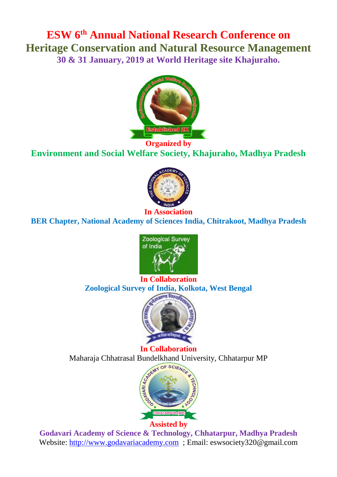# **ESW 6th Annual National Research Conference on Heritage Conservation and Natural Resource Management 30 & 31 January, 2019 at World Heritage site Khajuraho.**



**Organized by Environment and Social Welfare Society, Khajuraho, Madhya Pradesh**



**BER Chapter, National Academy of Sciences India, Chitrakoot, Madhya Pradesh** 



# **In Collaboration Zoological Survey of India, Kolkota, West Bengal**



**In Collaboration** Maharaja Chhatrasal Bundelkhand University, Chhatarpur MP



**Godavari Academy of Science & Technology, Chhatarpur, Madhya Pradesh** Website: [http://www.godavariacademy.com](http://www.godavariacademy.com/) ; Email: eswsociety320@gmail.com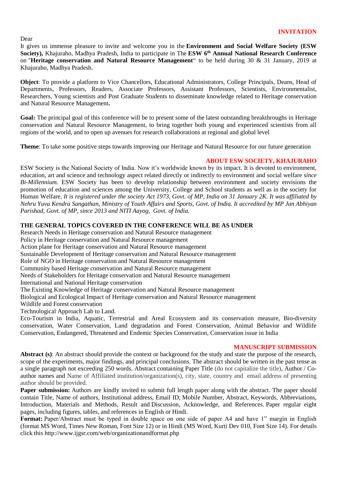Dear

It gives us immense pleasure to invite and welcome you in the **Environment and Social Welfare Society (ESW Society),** Khajuraho, Madhya Pradesh, India to participate in The **ESW 6 th Annual National Research Conference**  on "**Heritage conservation and Natural Resource Management**" to be held during 30 & 31 January, 2019 at Khajuraho, Madhya Pradesh.

**Object**: To provide a platform to Vice Chancellors, Educational Administrators, College Principals, Deans, Head of Departments, Professors, Readers, Associate Professors, Assistant Professors, Scientists, Environmentalist, Researchers, Young scientists and Post Graduate Students to disseminate knowledge related to Heritage conservation and Natural Resource Management**.**

Goal: The principal goal of this conference will be to present some of the latest outstanding breakthroughs in Heritage conservation and Natural Resource Management, to bring together both young and experienced scientists from all regions of the world, and to open up avenues for research collaborations at regional and global level

**Theme**: To take some positive steps towards improving our Heritage and Natural Resource for our future generation

# **ABOUT ESW SOCIETY, KHAJURAHO**

ESW Society is the National Society of India. Now it's worldwide known by its impact. It is devoted to environment, education, art and science and technology aspect related directly or indirectly to environment and social welfare *since Bi-Millennium.* ESW Society has been to develop relationship between environment and society envisions the promotion of education and sciences among the University, College and School students as well as in the society for Human Welfare. *It is registered under the society Act 1973, Govt. of MP, India on 31 January 2K. It was affiliated by Nehru Yuva Kendra Sangathan, Ministry of Youth Affairs and Sports, Govt. of India. It accredited by MP Jan Abhiyan Parishad, Govt. of MP, since 2013 and NITI Aayog, Govt. of India.*

# **THE GENERAL TOPICS COVERED IN THE CONFERENCE WILL BE AS UNDER**

Research Needs in Heritage conservation and Natural Resource management Policy in Heritage conservation and Natural Resource management Action plane for Heritage conservation and Natural Resource management Sustainable Development of Heritage conservation and Natural Resource management Role of NGO in Heritage conservation and Natural Resource management Community based Heritage conservation and Natural Resource management Needs of Stakeholders for Heritage conservation and Natural Resource management International and National Heritage conservation The Existing Knowledge of Heritage conservation and Natural Resource management Biological and Ecological Impact of Heritage conservation and Natural Resource management Wildlife and Forest conservation Technological Approach Lab to Land.

Eco-Tourism in India, Aquatic, Terrestrial and Areal Ecosystem and its conservation measure, Bio-diversity conservation, Water Conservation, Land degradation and Forest Conservation, Animal Behavior and Wildlife Conservation, Endangered, Threatened and Endemic Species Conservation, Conservation issue in India

#### **MANUSCRIPT SUBMISSION**

**Abstract (s)**: An abstract should provide the context or background for the study and state the purpose of the research, scope of the experiments, major findings, and principal conclusions. The abstract should be written in the past tense as a single paragraph not exceeding 250 words. Abstract containing Paper Title (do not capitalize the title), Author / Coauthor names and Name of Affiliated institution/organization(s), city, state, country and email address of presenting author should be provided.

**Paper submission:** Authors are kindly invited to submit full length paper along with the abstract. The paper should contain Title, Name of authors, Institutional address, Email ID, Mobile Number, Abstract, Keywords, Abbreviations, Introduction, Materials and Methods, Result and Discussion, Acknowledge, and References. Paper regular eight pages, including figures, tables, and references in English or Hindi.

**Format:** Paper/Abstract must be typed in double space on one side of paper A4 and have 1" margin in English (format MS Word, Times New Roman, Font Size 12) or in Hindi (MS Word, Kurti Dev 010, Font Size 14). For details click this <http://www.ijgsr.com/web/organizationandformat.php>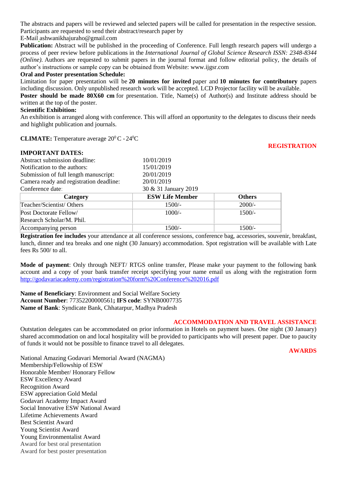The abstracts and papers will be reviewed and selected papers will be called for presentation in the respective session. Participants are requested to send their abstract/research paper by

E-Mai[l](mailto:%20%3Cscript%20type=) [ashwanikhajuraho@gmail.com](mailto:%20%3Cscript%20type=)

**Publication:** Abstract will be published in the proceeding of Conference. Full length research papers will undergo a process of peer review before publications in the *International Journal of Global Science Research ISSN: 2348-8344 (Online).* Authors are requested to submit papers in the journal format and follow editorial policy, the details of author's instructions or sample copy can be obtained from Website: [www.ijgsr.com](http://www.ijgsr.com/)

#### **Oral and Poster presentation Schedule:**

Limitation for paper presentation will be **20 minutes for invited** paper and **10 minutes for contributory** papers including discussion. Only unpublished research work will be accepted. LCD Projector facility will be available.

**Poster should be made 80X60 cm** for presentation. Title, Name(s) of Author(s) and Institute address should be written at the top of the poster.

### **Scientific Exhibition:**

An exhibition is arranged along with conference. This will afford an opportunity to the delegates to discuss their needs and highlight publication and journals.

**CLIMATE:** Temperature average  $20^{\circ}$  C -  $24^{\circ}$ C

#### **IMPORTANT DATES:**

# **REGISTRATION**

| Abstract submission deadline:           | 10/01/2019             |               |
|-----------------------------------------|------------------------|---------------|
| Notification to the authors:            | 15/01/2019             |               |
| Submission of full length manuscript:   | 20/01/2019             |               |
| Camera ready and registration deadline: | 20/01/2019             |               |
| Conference date:                        | 30 & 31 January 2019   |               |
| Category                                | <b>ESW Life Member</b> | <b>Others</b> |
| Teacher/Scientist/Others                | $1500/-$               | $2000/-$      |
| Post Doctorate Fellow/                  | $1000/-$               | $1500/-$      |
| Research Scholar/M. Phil.               |                        |               |
| Accompanying person                     | 1500/-                 | 1500/-        |

**Registration fee includes** your attendance at all conference sessions, conference bag, accessories, souvenir, breakfast, lunch, dinner and tea breaks and one night (30 January) accommodation. Spot registration will be available with Late fees Rs 500/ to all.

**Mode of payment**: Only through NEFT/ RTGS online transfer, Please make your payment to the following bank account and a copy of your bank transfer receipt specifying your name email us along with the registration form <http://godavariacademy.com/registration%20form%20Conference%202016.pdf>

**Name of Beneficiary**: Environment and Social Welfare Society **Account Number**: 77352200000561**; IFS code**: SYNB0007735 **Name of Bank**: Syndicate Bank, Chhatarpur, Madhya Pradesh

#### **ACCOMMODATION AND TRAVEL ASSISTANCE**

Outstation delegates can be accommodated on prior information in Hotels on payment bases. One night (30 January) shared accommodation on and local hospitality will be provided to participants who will present paper. Due to paucity of funds it would not be possible to finance travel to all delegates.

**AWARDS**

National Amazing Godavari Memorial Award (NAGMA) Membership/Fellowship of ESW Honorable Member/ Honorary Fellow ESW Excellency Award Recognition Award ESW appreciation Gold Medal Godavari Academy Impact Award Social Innovative ESW National Award Lifetime Achievements Award Best Scientist Award Young Scientist Award Young Environmentalist Award Award for best oral presentation Award for best poster presentation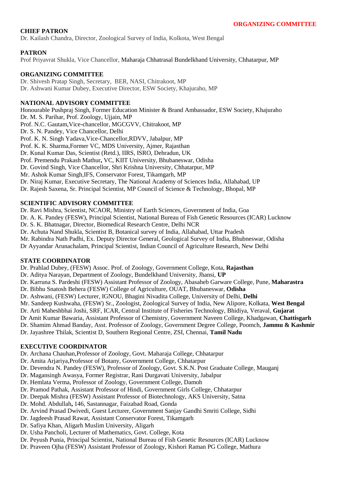# **CHIEF PATRON**

Dr. Kailash Chandra, Director, Zoological Survey of India, Kolkota, West Bengal

## **PATRON**

Prof Priyavrat Shukla, Vice Chancellor, Maharaja Chhatrasal Bundelkhand University, Chhatarpur, MP

# **ORGANIZING COMMITTEE**

Dr. Shivesh Pratap Singh, Secretary, BER, NASI, Chitrakoot, MP Dr. Ashwani Kumar Dubey, Executive Director, ESW Society, Khajuraho, MP

# **NATIONAL ADVISORY COMMITTEE**

Honourable Pushpraj Singh, Former Education Minister & Brand Ambassador, ESW Society, Khajuraho Dr. M. S. Parihar, Prof. Zoology, Ujjain, MP Prof. N.C. Gautam,Vice-chancellor, MGCGVV, Chitrakoot, MP Dr. S. N. Pandey, Vice Chancellor, Delhi Prof. K. N. Singh Yadava,Vice-Chancellor,RDVV, Jabalpur, MP Prof. K. K. Sharma,Former VC, MDS University, Ajmer, Rajasthan Dr. Kunal Kumar Das, Scientist (Retd.), IIRS, ISRO, Dehradun, UK Prof. Premendu Prakash Mathur**,** VC, KIIT University, Bhubaneswar, Odisha Dr. Govind Singh, Vice Chancellor, Shri Krishna University, Chhatarpur, MP Mr. Ashok Kumar Singh,IFS, Conservator Forest, Tikamgarh, MP Dr. Niraj Kumar, Executive Secretary, The National Academy of Sciences India, Allahabad, UP Dr. Rajesh Saxena, Sr. Principal Scientist, MP Council of Science & Technology, Bhopal, MP

## **SCIENTIFIC ADVISORY COMMITTEE**

Dr. Ravi Mishra, Scientist, NCAOR, Ministry of Earth Sciences, Government of India, Goa

Dr. A. K. Pandey (FESW), Principal Scientist, National Bureau of Fish Genetic Resources (ICAR) Lucknow

Dr. S. K. Bhatnagar, Director, Biomedical Research Centre, Delhi NCR

Dr. Achuta Nand Shukla, Scientist B, Botanical survey of India, Allahabad, Uttar Pradesh

Mr. Rabindra Nath Padhi, Ex. Deputy Director General, Geological Survey of India, Bhubneswar, Odisha

Dr Ayyandar Arunachalam, Principal Scientist, Indian Council of Agriculture Research, New Delhi

### **STATE COORDINATOR**

Dr. Prahlad Dubey, (FESW) Assoc. Prof. of Zoology, Government College, Kota, **Rajasthan**

Dr. Aditya Narayan, Department of Zoology, Bundelkhand University, Jhansi, **UP**

Dr. Karruna S. Pardeshi (FESW) Assistant Professor of Zoology, Abasaheb Garware College, Pune, **Maharastra**

Dr. Bibhu Snatosh Behera (FESW) College of Agriculture, OUAT, Bhubaneswar, **Odisha**

Dr. Ashwani, (FESW) Lecturer, IGNOU, Bhagini Nivadita College, University of Delhi, **Delhi**

Mr. Sandeep Kushwaha, (FESW) Sr., Zoologist, Zoological Survey of India, New Alipore, Kolkata, **West Bengal**

Dr. Arti Maheshbhai Joshi, SRF, ICAR, Central Institute of Fisheries Technology, Bhidiya, Veraval, **Gujarat**

Dr Amit Kumar Bawaria, Assistant Professor of Chemistry, Government Naveen College, Khadgawan, **Chattisgarh**

Dr. Shamim Ahmad Banday, Asst. Professor of Zoology, Government Degree College, Poomch, **Jammu & Kashmir**

Dr. Jayashree Thilak, Scientist D, Southern Regional Centre, ZSI, Chennai, **Tamil Nadu**

# **EXECUTIVE COORDINATOR**

Dr. Archana Chauhan,Professor of Zoology, Govt. Maharaja College, Chhatarpur

Dr. Amita Arjariya,Professor of Botany, Government College, Chhatarpur

Dr. Devendra N. Pandey (FESW), Professor of Zoology, Govt. S.K.N. Post Graduate College, Mauganj

Dr. Magansingh Awasya, Former Registrar, Rani Durgavati University, Jabalpur

Dr. Hemlata Verma, Professor of Zoology, Government College, Damoh

Dr. Pramod Pathak, Assistant Professor of Hindi, Government Girls College, Chhatarpur

Dr. Deepak Mishra (FESW) Assistant Professor of Biotechnology, AKS University, Satna

Dr. Mohd. Abdullah**,** 146, Sastannagar, Faizabad Road, Gonda

- Dr. Arvind Prasad Dwivedi, Guest Lecturer, Government Sanjay Gandhi Smriti College, Sidhi
- Dr. Jagdeesh Prasad Rawat, Assistant Conservator Forest, Tikamgarh
- Dr. Safiya Khan, Aligarh Muslim University, Aligarh
- Dr. Usha Pancholi, Lecturer of Mathematics, Govt. College, Kota
- Dr. Peyush Punia, Principal Scientist, National Bureau of Fish Genetic Resources (ICAR) Lucknow
- Dr. Praveen Ojha (FESW) Assistant Professor of Zoology, Kishori Raman PG College, Mathura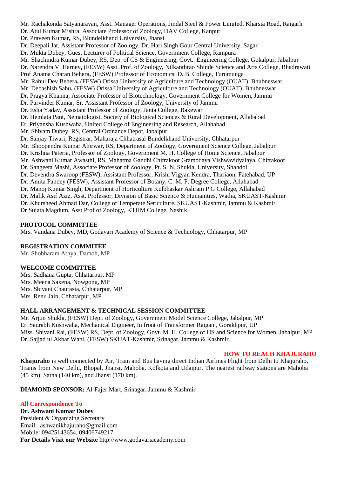Mr. Rachakonda Satyanarayan, Asst. Manager Operations, Jindal Steel & Power Limited, Kharsia Road, Raigarh Dr. Atul Kumar Mishra, Associate Professor of Zoology, DAV College, Kanpur Dr. Praveen Kumar**,** RS, Blundelkhand University, Jhansi Dr. Deepali Jat, Assistant Professor of Zoology, Dr. Hari Singh Gour Central University, Sagar Dr. Mukta Dubey, Guest Lecturer of Political Science, Government College, Rampura Mr. Shachindra Kumar Dubey, RS, Dep. of CS & Engineering, Govt.. Engineering College, Gokalpur, Jabalpur Dr. Narendra V. Harney**,** (FESW) Asst. Prof. of Zoology, Nilkanthrao Shinde Science and Arts College, Bhadrawati Prof Anama Charan Behera**,** (FESW) Professor of Economics, D. B. College, Turumunga Mr. Rahul Dev Behera**,** (FESW) Orissa University of Agriculture and Technology (OUAT), Bhubneswar Mr. Debashish Sahu**,** (FESW) Orissa University of Agriculture and Technology (OUAT), Bhubneswar Dr. Pragya Khanna, Associate Professor of Biotechnology, Government College for Women, Jammu Dr. Parvinder Kumar, Sr. Assistant Professor of Zoology, University of Jammu Dr. Esha Yadav, Assistant Professor of Zoology, Janta College, Bakewar Dr. Hemlata Pant, Nematologist, Society of Biological Sciences & Rural Development, Allahabad Er. Priyansha Kushwaha, United College of Engineering and Research, Allahabad Mr. Shivam Dubey, RS, Central Ordnance Depot, Jabalpur Dr. Sanjay Tiwari, Registrar, Maharaja Chhatrasal Bundelkhand University, Chhatarpur Mr. Bhoopendra Kumar Ahirwar, RS, Department of Zoology, Government Science College, Jabalpur Dr. Krishna Pateria, Professor of Zoology, Government M. H. College of Home Science, Jabalpur Mr. Ashwani Kumar Awasthi, RS, Mahatma Gandhi Chitrakoot Gramodaya Vishwavidyalaya, Chitrakoot Dr. Sangeeta Mashi, Associate Professor of Zoology, Pt. S. N. Shukla, University, Shahdol Dr. Devendra Swaroop (FESW), Assistant Professor, Krishi Vigyan Kendra, Thariaon, Fatehabad, UP Dr. Amita Pandey (FESW), Assistant Professor of Botany, C. M. P. Degree College, Allahabad Dr. Manoj Kumar Singh, Department of Horticulture Kulbhaskar Ashram P G College, Allahabad Dr. Malik Asif Aziz, Asst. Professor, Division of Basic Science & Humanities, Wadia, SKUAST-Kashmir Dr. Khursheed Ahmad Dar, College of Temperate Sericulture, SKUAST-Kashmir, Jammu & Kashmir Dr Sujata Magdum, Asst Prof of Zoology, KTHM College, Nashik

#### **PROTOCOL COMMITTEE**

Mrs. Vandana Dubey, MD, Godavari Academy of Science & Technology, Chhatarpur, MP

#### **REGISTRATION COMMITEE**

Mr. Shobharam Athya, Damoh, MP

#### **WELCOME COMMITTEE**

Mrs. Sadhana Gupta, Chhatarpur, MP Mrs. Meena Saxena, Nowgong, MP Mrs. Shivani Chaurasia, Chhatarpur, MP Mrs. Renu Jain, Chhatarpur, MP

#### **HALL ARRANGEMENT & TECHNICAL SESSION COMMITTEE**

Mr. Arjun Shukla, (FESW) Dept. of Zoology, Government Model Science College, Jabalpur, MP Er. Saurabh Kushwaha, Mechanical Engineer, In front of Transformer Raiganj, Gorakhpur, UP Miss. Shivani Rai, (FESW) RS, Dept. of Zoology, Govt. M. H. College of HS and Science for Women, Jabalpur, MP Dr. Sajjad ul Akbar Wani, (FESW) SKUAT-Kashmir, Srinagar, Jammu & Kashmir

#### **HOW TO REACH KHAJURAHO**

**Khajuraho** is well connected by Air, Train and Bus having direct Indian Airlines Flight from Delhi to Khajuraho, Trains from New Delhi, Bhopal, Jhansi, Mahoba, Kolkota and Udaipur. The nearest railway stations are Mahoba (45 km), Satna (140 km), and Jhansi (170 km).

**DIAMOND SPONSOR:** Al-Fajer Mart, Srinagar, Jammu & Kashmir

#### **All Correspondence To**

**Dr. Ashwani Kumar Dubey** President & Organizing Secretary Email: [ashwanikhajuraho@gmail.com](mailto:ashwanikhajuraho@gmail.com) Mobile: 09425143654, 09406749217 **For Details Visit our Website** [http://www.godavariacademy.com](http://www.godavariacademy.com/)